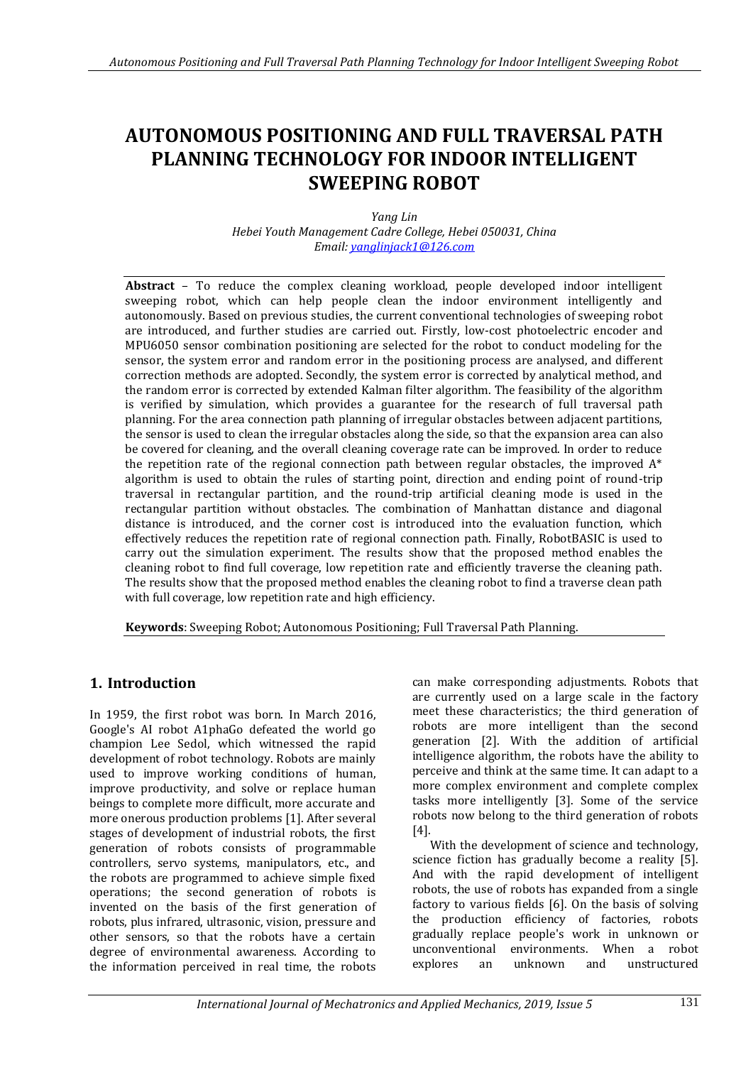# **AUTONOMOUS POSITIONING AND FULL TRAVERSAL PATH PLANNING TECHNOLOGY FOR INDOOR INTELLIGENT SWEEPING ROBOT**

*Yang Lin Hebei Youth Management Cadre College, Hebei 050031, China Email: [yanglinjack1@126.com](mailto:yanglinjack1@126.com)*

**Abstract** – To reduce the complex cleaning workload, people developed indoor intelligent sweeping robot, which can help people clean the indoor environment intelligently and autonomously. Based on previous studies, the current conventional technologies of sweeping robot are introduced, and further studies are carried out. Firstly, low-cost photoelectric encoder and MPU6050 sensor combination positioning are selected for the robot to conduct modeling for the sensor, the system error and random error in the positioning process are analysed, and different correction methods are adopted. Secondly, the system error is corrected by analytical method, and the random error is corrected by extended Kalman filter algorithm. The feasibility of the algorithm is verified by simulation, which provides a guarantee for the research of full traversal path planning. For the area connection path planning of irregular obstacles between adjacent partitions, the sensor is used to clean the irregular obstacles along the side, so that the expansion area can also be covered for cleaning, and the overall cleaning coverage rate can be improved. In order to reduce the repetition rate of the regional connection path between regular obstacles, the improved  $A^*$ algorithm is used to obtain the rules of starting point, direction and ending point of round-trip traversal in rectangular partition, and the round-trip artificial cleaning mode is used in the rectangular partition without obstacles. The combination of Manhattan distance and diagonal distance is introduced, and the corner cost is introduced into the evaluation function, which effectively reduces the repetition rate of regional connection path. Finally, RobotBASIC is used to carry out the simulation experiment. The results show that the proposed method enables the cleaning robot to find full coverage, low repetition rate and efficiently traverse the cleaning path. The results show that the proposed method enables the cleaning robot to find a traverse clean path with full coverage, low repetition rate and high efficiency.

**Keywords**: Sweeping Robot; Autonomous Positioning; Full Traversal Path Planning.

# **1. Introduction**

In 1959, the first robot was born. In March 2016, Google's AI robot A1phaGo defeated the world go champion Lee Sedol, which witnessed the rapid development of robot technology. Robots are mainly used to improve working conditions of human, improve productivity, and solve or replace human beings to complete more difficult, more accurate and more onerous production problems [1]. After several stages of development of industrial robots, the first generation of robots consists of programmable controllers, servo systems, manipulators, etc., and the robots are programmed to achieve simple fixed operations; the second generation of robots is invented on the basis of the first generation of robots, plus infrared, ultrasonic, vision, pressure and other sensors, so that the robots have a certain degree of environmental awareness. According to the information perceived in real time, the robots

can make corresponding adjustments. Robots that are currently used on a large scale in the factory meet these characteristics; the third generation of robots are more intelligent than the second generation [2]. With the addition of artificial intelligence algorithm, the robots have the ability to perceive and think at the same time. It can adapt to a more complex environment and complete complex tasks more intelligently [3]. Some of the service robots now belong to the third generation of robots [4].

With the development of science and technology, science fiction has gradually become a reality [5]. And with the rapid development of intelligent robots, the use of robots has expanded from a single factory to various fields [6]. On the basis of solving the production efficiency of factories, robots gradually replace people's work in unknown or unconventional environments. When a robot explores an unknown and unstructured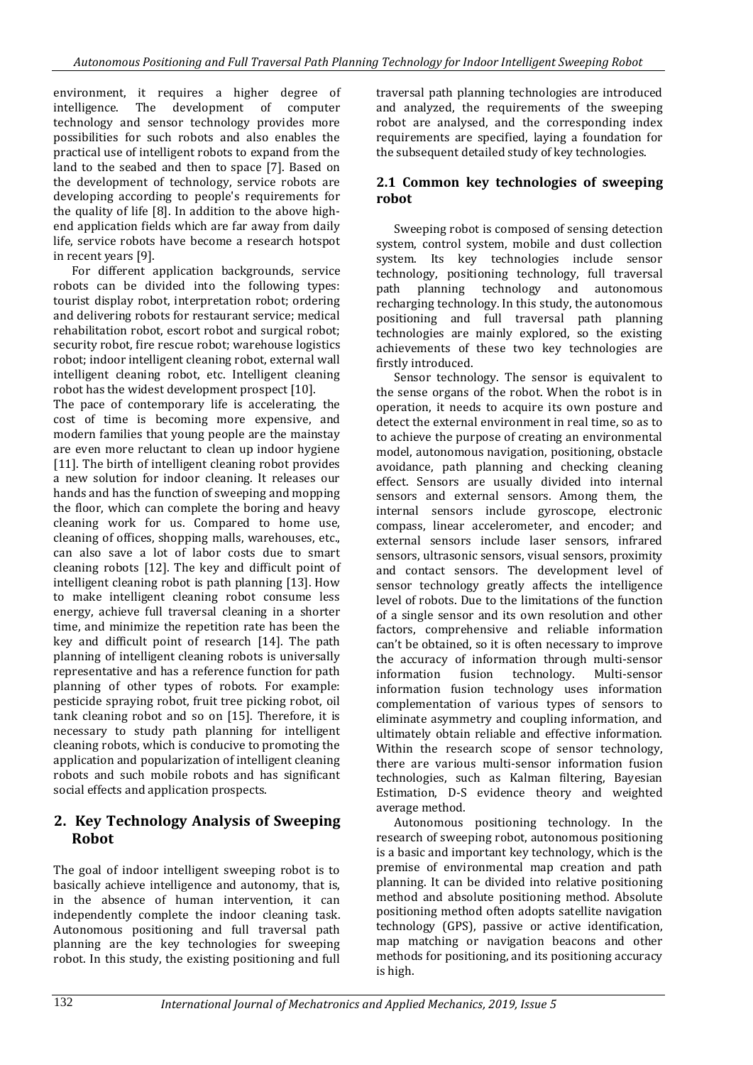environment, it requires a higher degree of intelligence. The development of computer technology and sensor technology provides more possibilities for such robots and also enables the practical use of intelligent robots to expand from the land to the seabed and then to space [7]. Based on the development of technology, service robots are developing according to people's requirements for the quality of life [8]. In addition to the above highend application fields which are far away from daily life, service robots have become a research hotspot in recent years [9].

For different application backgrounds, service robots can be divided into the following types: tourist display robot, interpretation robot; ordering and delivering robots for restaurant service; medical rehabilitation robot, escort robot and surgical robot; security robot, fire rescue robot; warehouse logistics robot; indoor intelligent cleaning robot, external wall intelligent cleaning robot, etc. Intelligent cleaning robot has the widest development prospect [10].

The pace of contemporary life is accelerating, the cost of time is becoming more expensive, and modern families that young people are the mainstay are even more reluctant to clean up indoor hygiene [11]. The birth of intelligent cleaning robot provides a new solution for indoor cleaning. It releases our hands and has the function of sweeping and mopping the floor, which can complete the boring and heavy cleaning work for us. Compared to home use, cleaning of offices, shopping malls, warehouses, etc., can also save a lot of labor costs due to smart cleaning robots [12]. The key and difficult point of intelligent cleaning robot is path planning [13]. How to make intelligent cleaning robot consume less energy, achieve full traversal cleaning in a shorter time, and minimize the repetition rate has been the key and difficult point of research [14]. The path planning of intelligent cleaning robots is universally representative and has a reference function for path planning of other types of robots. For example: pesticide spraying robot, fruit tree picking robot, oil tank cleaning robot and so on [15]. Therefore, it is necessary to study path planning for intelligent cleaning robots, which is conducive to promoting the application and popularization of intelligent cleaning robots and such mobile robots and has significant social effects and application prospects.

# **2. Key Technology Analysis of Sweeping Robot**

The goal of indoor intelligent sweeping robot is to basically achieve intelligence and autonomy, that is, in the absence of human intervention, it can independently complete the indoor cleaning task. Autonomous positioning and full traversal path planning are the key technologies for sweeping robot. In this study, the existing positioning and full traversal path planning technologies are introduced and analyzed, the requirements of the sweeping robot are analysed, and the corresponding index requirements are specified, laying a foundation for the subsequent detailed study of key technologies.

# **2.1 Common key technologies of sweeping robot**

Sweeping robot is composed of sensing detection system, control system, mobile and dust collection system. Its key technologies include sensor technology, positioning technology, full traversal path planning technology and autonomous recharging technology. In this study, the autonomous positioning and full traversal path planning technologies are mainly explored, so the existing achievements of these two key technologies are firstly introduced.

Sensor technology. The sensor is equivalent to the sense organs of the robot. When the robot is in operation, it needs to acquire its own posture and detect the external environment in real time, so as to to achieve the purpose of creating an environmental model, autonomous navigation, positioning, obstacle avoidance, path planning and checking cleaning effect. Sensors are usually divided into internal sensors and external sensors. Among them, the internal sensors include gyroscope, electronic compass, linear accelerometer, and encoder; and external sensors include laser sensors, infrared sensors, ultrasonic sensors, visual sensors, proximity and contact sensors. The development level of sensor technology greatly affects the intelligence level of robots. Due to the limitations of the function of a single sensor and its own resolution and other factors, comprehensive and reliable information can't be obtained, so it is often necessary to improve the accuracy of information through multi-sensor information fusion technology. Multi-sensor information fusion technology uses information complementation of various types of sensors to eliminate asymmetry and coupling information, and ultimately obtain reliable and effective information. Within the research scope of sensor technology, there are various multi-sensor information fusion technologies, such as Kalman filtering, Bayesian Estimation, D-S evidence theory and weighted average method.

Autonomous positioning technology. In the research of sweeping robot, autonomous positioning is a basic and important key technology, which is the premise of environmental map creation and path planning. It can be divided into relative positioning method and absolute positioning method. Absolute positioning method often adopts satellite navigation technology (GPS), passive or active identification, map matching or navigation beacons and other methods for positioning, and its positioning accuracy is high.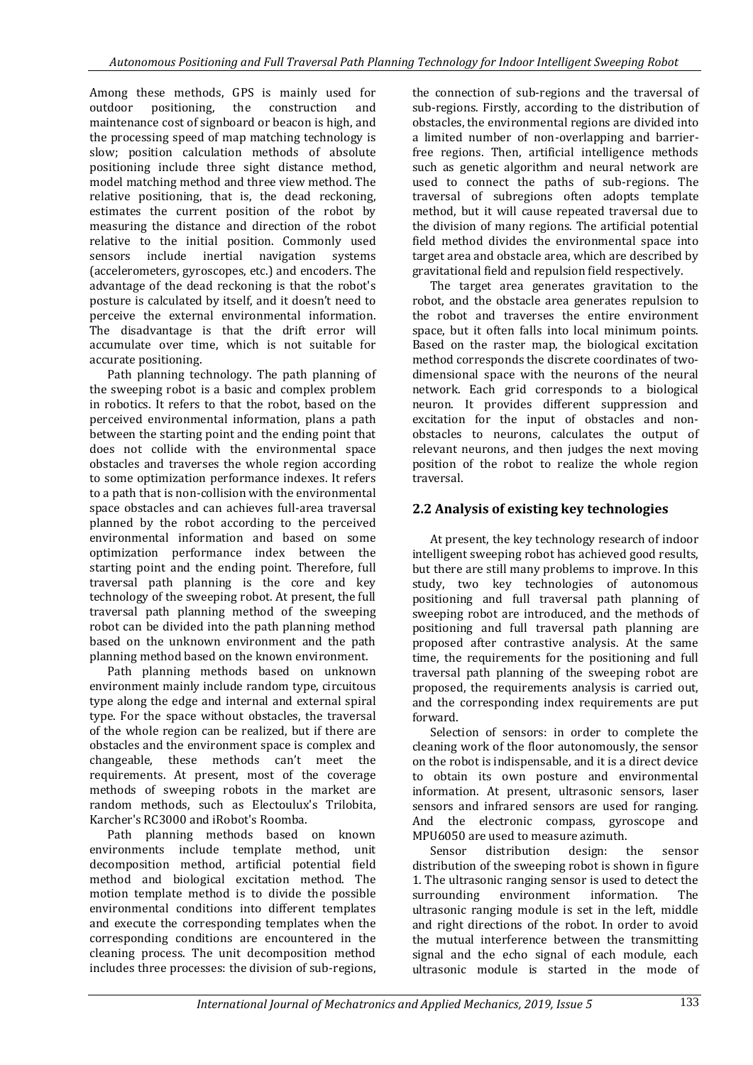Among these methods, GPS is mainly used for outdoor positioning, the construction and maintenance cost of signboard or beacon is high, and the processing speed of map matching technology is slow; position calculation methods of absolute positioning include three sight distance method, model matching method and three view method. The relative positioning, that is, the dead reckoning, estimates the current position of the robot by measuring the distance and direction of the robot relative to the initial position. Commonly used sensors include inertial navigation systems (accelerometers, gyroscopes, etc.) and encoders. The advantage of the dead reckoning is that the robot's posture is calculated by itself, and it doesn't need to perceive the external environmental information. The disadvantage is that the drift error will accumulate over time, which is not suitable for accurate positioning.

Path planning technology. The path planning of the sweeping robot is a basic and complex problem in robotics. It refers to that the robot, based on the perceived environmental information, plans a path between the starting point and the ending point that does not collide with the environmental space obstacles and traverses the whole region according to some optimization performance indexes. It refers to a path that is non-collision with the environmental space obstacles and can achieves full-area traversal planned by the robot according to the perceived environmental information and based on some optimization performance index between the starting point and the ending point. Therefore, full traversal path planning is the core and key technology of the sweeping robot. At present, the full traversal path planning method of the sweeping robot can be divided into the path planning method based on the unknown environment and the path planning method based on the known environment.

Path planning methods based on unknown environment mainly include random type, circuitous type along the edge and internal and external spiral type. For the space without obstacles, the traversal of the whole region can be realized, but if there are obstacles and the environment space is complex and changeable, these methods can't meet the requirements. At present, most of the coverage methods of sweeping robots in the market are random methods, such as Electoulux's Trilobita, Karcher's RC3000 and iRobot's Roomba.

Path planning methods based on known environments include template method, unit decomposition method, artificial potential field method and biological excitation method. The motion template method is to divide the possible environmental conditions into different templates and execute the corresponding templates when the corresponding conditions are encountered in the cleaning process. The unit decomposition method includes three processes: the division of sub-regions,

the connection of sub-regions and the traversal of sub-regions. Firstly, according to the distribution of obstacles, the environmental regions are divided into a limited number of non-overlapping and barrierfree regions. Then, artificial intelligence methods such as genetic algorithm and neural network are used to connect the paths of sub-regions. The traversal of subregions often adopts template method, but it will cause repeated traversal due to the division of many regions. The artificial potential field method divides the environmental space into target area and obstacle area, which are described by gravitational field and repulsion field respectively.

The target area generates gravitation to the robot, and the obstacle area generates repulsion to the robot and traverses the entire environment space, but it often falls into local minimum points. Based on the raster map, the biological excitation method corresponds the discrete coordinates of twodimensional space with the neurons of the neural network. Each grid corresponds to a biological neuron. It provides different suppression and excitation for the input of obstacles and nonobstacles to neurons, calculates the output of relevant neurons, and then judges the next moving position of the robot to realize the whole region traversal.

# **2.2 Analysis of existing key technologies**

At present, the key technology research of indoor intelligent sweeping robot has achieved good results, but there are still many problems to improve. In this study, two key technologies of autonomous positioning and full traversal path planning of sweeping robot are introduced, and the methods of positioning and full traversal path planning are proposed after contrastive analysis. At the same time, the requirements for the positioning and full traversal path planning of the sweeping robot are proposed, the requirements analysis is carried out, and the corresponding index requirements are put forward.

Selection of sensors: in order to complete the cleaning work of the floor autonomously, the sensor on the robot is indispensable, and it is a direct device to obtain its own posture and environmental information. At present, ultrasonic sensors, laser sensors and infrared sensors are used for ranging. And the electronic compass, gyroscope and MPU6050 are used to measure azimuth.

Sensor distribution design: the sensor distribution of the sweeping robot is shown in figure 1. The ultrasonic ranging sensor is used to detect the surrounding environment information. The ultrasonic ranging module is set in the left, middle and right directions of the robot. In order to avoid the mutual interference between the transmitting signal and the echo signal of each module, each ultrasonic module is started in the mode of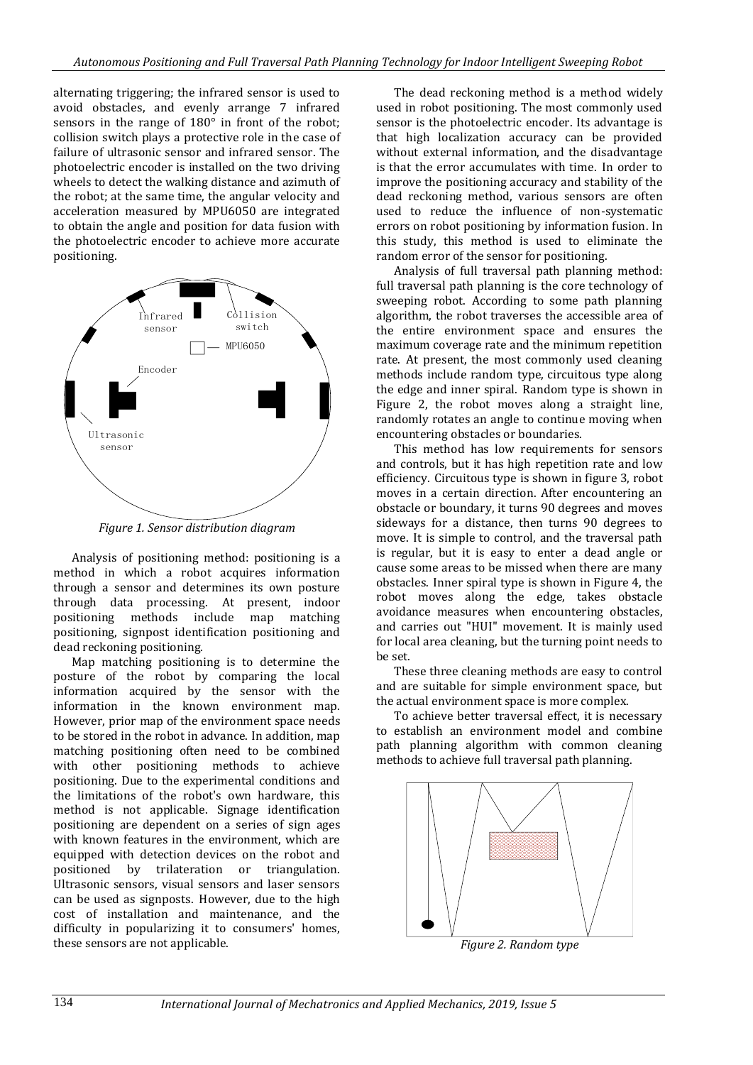alternating triggering; the infrared sensor is used to avoid obstacles, and evenly arrange 7 infrared sensors in the range of 180° in front of the robot; collision switch plays a protective role in the case of failure of ultrasonic sensor and infrared sensor. The photoelectric encoder is installed on the two driving wheels to detect the walking distance and azimuth of the robot; at the same time, the angular velocity and acceleration measured by MPU6050 are integrated to obtain the angle and position for data fusion with the photoelectric encoder to achieve more accurate positioning.



*Figure 1. Sensor distribution diagram*

Analysis of positioning method: positioning is a method in which a robot acquires information through a sensor and determines its own posture through data processing. At present, indoor positioning methods include map matching positioning, signpost identification positioning and dead reckoning positioning.

Map matching positioning is to determine the posture of the robot by comparing the local information acquired by the sensor with the information in the known environment map. However, prior map of the environment space needs to be stored in the robot in advance. In addition, map matching positioning often need to be combined with other positioning methods to achieve positioning. Due to the experimental conditions and the limitations of the robot's own hardware, this method is not applicable. Signage identification positioning are dependent on a series of sign ages with known features in the environment, which are equipped with detection devices on the robot and positioned by trilateration or triangulation. Ultrasonic sensors, visual sensors and laser sensors can be used as signposts. However, due to the high cost of installation and maintenance, and the difficulty in popularizing it to consumers' homes, these sensors are not applicable.

The dead reckoning method is a method widely used in robot positioning. The most commonly used sensor is the photoelectric encoder. Its advantage is that high localization accuracy can be provided without external information, and the disadvantage is that the error accumulates with time. In order to improve the positioning accuracy and stability of the dead reckoning method, various sensors are often used to reduce the influence of non-systematic errors on robot positioning by information fusion. In this study, this method is used to eliminate the random error of the sensor for positioning.

Analysis of full traversal path planning method: full traversal path planning is the core technology of sweeping robot. According to some path planning algorithm, the robot traverses the accessible area of the entire environment space and ensures the maximum coverage rate and the minimum repetition rate. At present, the most commonly used cleaning methods include random type, circuitous type along the edge and inner spiral. Random type is shown in Figure 2, the robot moves along a straight line, randomly rotates an angle to continue moving when encountering obstacles or boundaries.

This method has low requirements for sensors and controls, but it has high repetition rate and low efficiency. Circuitous type is shown in figure 3, robot moves in a certain direction. After encountering an obstacle or boundary, it turns 90 degrees and moves sideways for a distance, then turns 90 degrees to move. It is simple to control, and the traversal path is regular, but it is easy to enter a dead angle or cause some areas to be missed when there are many obstacles. Inner spiral type is shown in Figure 4, the robot moves along the edge, takes obstacle avoidance measures when encountering obstacles, and carries out "HUI" movement. It is mainly used for local area cleaning, but the turning point needs to be set.

These three cleaning methods are easy to control and are suitable for simple environment space, but the actual environment space is more complex.

To achieve better traversal effect, it is necessary to establish an environment model and combine path planning algorithm with common cleaning methods to achieve full traversal path planning.



*Figure 2. Random type*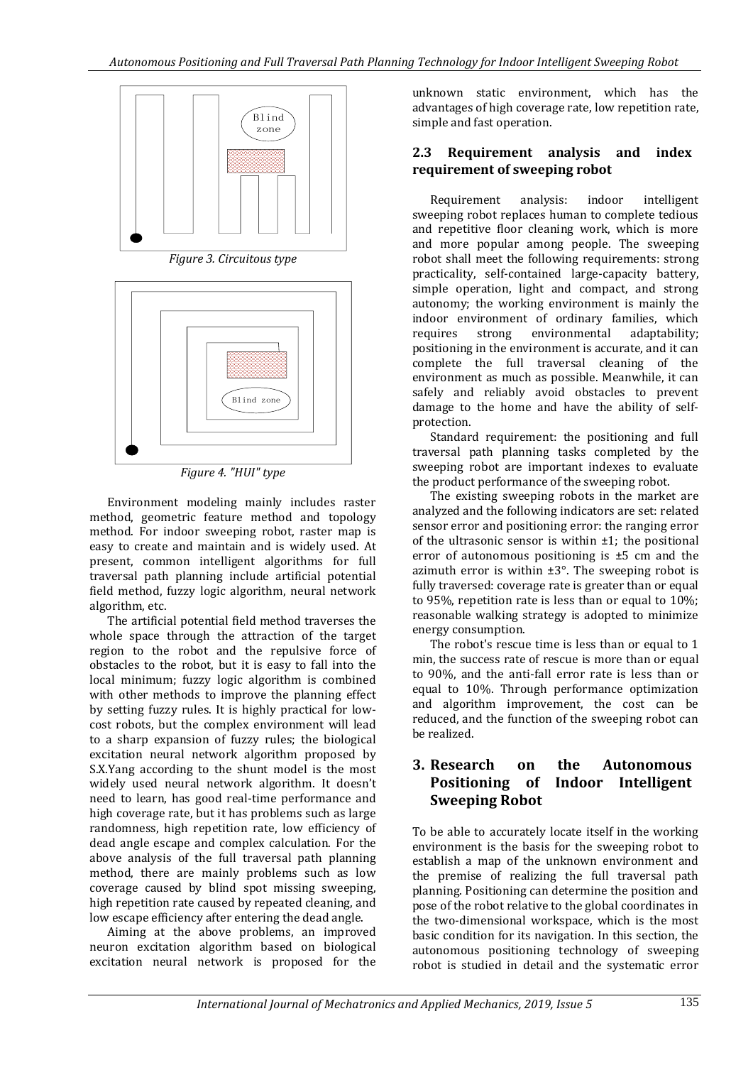

*Figure 3. Circuitous type*



*Figure 4. "HUI" type*

Environment modeling mainly includes raster method, geometric feature method and topology method. For indoor sweeping robot, raster map is easy to create and maintain and is widely used. At present, common intelligent algorithms for full traversal path planning include artificial potential field method, fuzzy logic algorithm, neural network algorithm, etc.

The artificial potential field method traverses the whole space through the attraction of the target region to the robot and the repulsive force of obstacles to the robot, but it is easy to fall into the local minimum; fuzzy logic algorithm is combined with other methods to improve the planning effect by setting fuzzy rules. It is highly practical for lowcost robots, but the complex environment will lead to a sharp expansion of fuzzy rules; the biological excitation neural network algorithm proposed by S.X.Yang according to the shunt model is the most widely used neural network algorithm. It doesn't need to learn, has good real-time performance and high coverage rate, but it has problems such as large randomness, high repetition rate, low efficiency of dead angle escape and complex calculation. For the above analysis of the full traversal path planning method, there are mainly problems such as low coverage caused by blind spot missing sweeping, high repetition rate caused by repeated cleaning, and low escape efficiency after entering the dead angle.

Aiming at the above problems, an improved neuron excitation algorithm based on biological excitation neural network is proposed for the

unknown static environment, which has the advantages of high coverage rate, low repetition rate, simple and fast operation.

### **2.3 Requirement analysis and index requirement of sweeping robot**

Requirement analysis: indoor intelligent sweeping robot replaces human to complete tedious and repetitive floor cleaning work, which is more and more popular among people. The sweeping robot shall meet the following requirements: strong practicality, self-contained large-capacity battery, simple operation, light and compact, and strong autonomy; the working environment is mainly the indoor environment of ordinary families, which requires strong environmental adaptability; positioning in the environment is accurate, and it can complete the full traversal cleaning of the environment as much as possible. Meanwhile, it can safely and reliably avoid obstacles to prevent damage to the home and have the ability of selfprotection.

Standard requirement: the positioning and full traversal path planning tasks completed by the sweeping robot are important indexes to evaluate the product performance of the sweeping robot.

The existing sweeping robots in the market are analyzed and the following indicators are set: related sensor error and positioning error: the ranging error of the ultrasonic sensor is within  $\pm 1$ ; the positional error of autonomous positioning is ±5 cm and the azimuth error is within  $\pm 3^{\circ}$ . The sweeping robot is fully traversed: coverage rate is greater than or equal to 95%, repetition rate is less than or equal to 10%; reasonable walking strategy is adopted to minimize energy consumption.

The robot's rescue time is less than or equal to 1 min, the success rate of rescue is more than or equal to 90%, and the anti-fall error rate is less than or equal to 10%. Through performance optimization and algorithm improvement, the cost can be reduced, and the function of the sweeping robot can be realized.

# **3. Research on the Autonomous Positioning of Indoor Intelligent Sweeping Robot**

To be able to accurately locate itself in the working environment is the basis for the sweeping robot to establish a map of the unknown environment and the premise of realizing the full traversal path planning. Positioning can determine the position and pose of the robot relative to the global coordinates in the two-dimensional workspace, which is the most basic condition for its navigation. In this section, the autonomous positioning technology of sweeping robot is studied in detail and the systematic error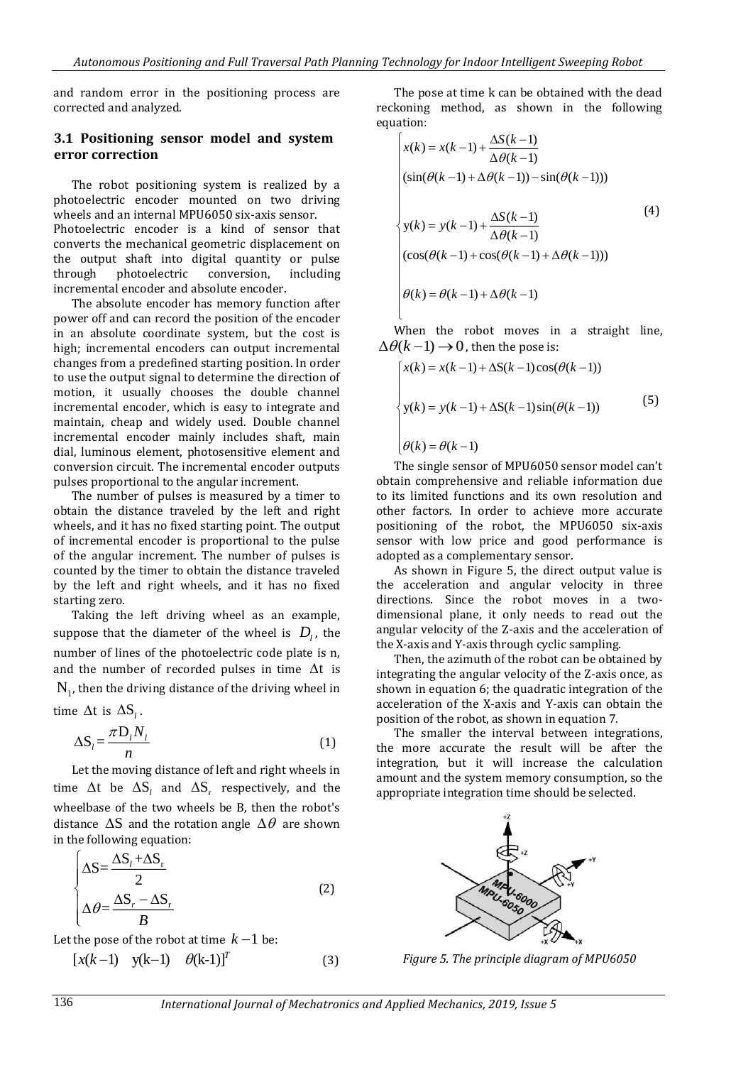and random error in the positioning process are corrected and analyzed.

#### **3.1 Positioning sensor model and system error correction**

The robot positioning system is realized by a photoelectric encoder mounted on two driving wheels and an internal MPU6050 six-axis sensor. Photoelectric encoder is a kind of sensor that converts the mechanical geometric displacement on the output shaft into digital quantity or pulse through photoelectric conversion, including incremental encoder and absolute encoder.

The absolute encoder has memory function after power off and can record the position of the encoder in an absolute coordinate system, but the cost is high; incremental encoders can output incremental changes from a predefined starting position. In order to use the output signal to determine the direction of motion, it usually chooses the double channel incremental encoder, which is easy to integrate and maintain, cheap and widely used. Double channel incremental encoder mainly includes shaft, main dial, luminous element, photosensitive element and conversion circuit. The incremental encoder outputs pulses proportional to the angular increment.

The number of pulses is measured by a timer to obtain the distance traveled by the left and right wheels, and it has no fixed starting point. The output of incremental encoder is proportional to the pulse of the angular increment. The number of pulses is counted by the timer to obtain the distance traveled by the left and right wheels, and it has no fixed starting zero.

Taking the left driving wheel as an example, suppose that the diameter of the wheel is  $D_{\scriptscriptstyle\! L}$  the number of lines of the photoelectric code plate is n, and the number of recorded pulses in time  $\Delta t$  is  $N_{\parallel}$ , then the driving distance of the driving wheel in

time  $\Delta t$  is  $\Delta S_l$ .

$$
\Delta S_i = \frac{\pi D_i N_i}{n} \tag{1}
$$

Let the moving distance of left and right wheels in time  $\Delta t$  be  $\Delta S_t$  and  $\Delta S_t$  respectively, and the wheelbase of the two wheels be B, then the robot's distance  $\Delta S$  and the rotation angle  $\Delta \theta$  are shown in the following equation:

$$
\begin{cases}\n\Delta S = \frac{\Delta S_t + \Delta S_r}{2} \\
\Delta \theta = \frac{\Delta S_r - \Delta S_r}{B}\n\end{cases}
$$
\n(2)

Let the pose of the robot at time  $k - 1$  be:

$$
[x(k-1) \quad y(k-1) \quad \theta(k-1)]^T
$$
 (3)

The pose at time k can be obtained with the dead reckoning method, as shown in the following equation:

$$
x(k) = x(k-1) + \frac{\Delta S(k-1)}{\Delta \theta(k-1)}
$$
  
\n
$$
(sin(\theta(k-1) + \Delta \theta(k-1)) - sin(\theta(k-1)))
$$
  
\n
$$
y(k) = y(k-1) + \frac{\Delta S(k-1)}{\Delta \theta(k-1)}
$$
  
\n
$$
(cos(\theta(k-1) + cos(\theta(k-1) + \Delta \theta(k-1)))
$$
  
\n
$$
\theta(k) = \theta(k-1) + \Delta \theta(k-1)
$$
 (4)

When the robot moves in a straight line,  $\Delta\theta(k-1) \rightarrow 0$ , then the pose is:

$$
\begin{cases}\nx(k) = x(k-1) + \Delta S(k-1)\cos(\theta(k-1)) \\
y(k) = y(k-1) + \Delta S(k-1)\sin(\theta(k-1)) \\
\theta(k) = \theta(k-1)\n\end{cases}
$$
\n(5)

The single sensor of MPU6050 sensor model can't obtain comprehensive and reliable information due to its limited functions and its own resolution and other factors. In order to achieve more accurate positioning of the robot, the MPU6050 six-axis sensor with low price and good performance is adopted as a complementary sensor.

As shown in Figure 5, the direct output value is the acceleration and angular velocity in three directions. Since the robot moves in a twodimensional plane, it only needs to read out the angular velocity of the Z-axis and the acceleration of the X-axis and Y-axis through cyclic sampling.

Then, the azimuth of the robot can be obtained by integrating the angular velocity of the Z-axis once, as shown in equation 6; the quadratic integration of the acceleration of the X-axis and Y-axis can obtain the position of the robot, as shown in equation 7.

The smaller the interval between integrations, the more accurate the result will be after the integration, but it will increase the calculation amount and the system memory consumption, so the appropriate integration time should be selected.



*Figure 5. The principle diagram of MPU6050*

136 *International Journal of Mechatronics and Applied Mechanics, 2019, Issue 5*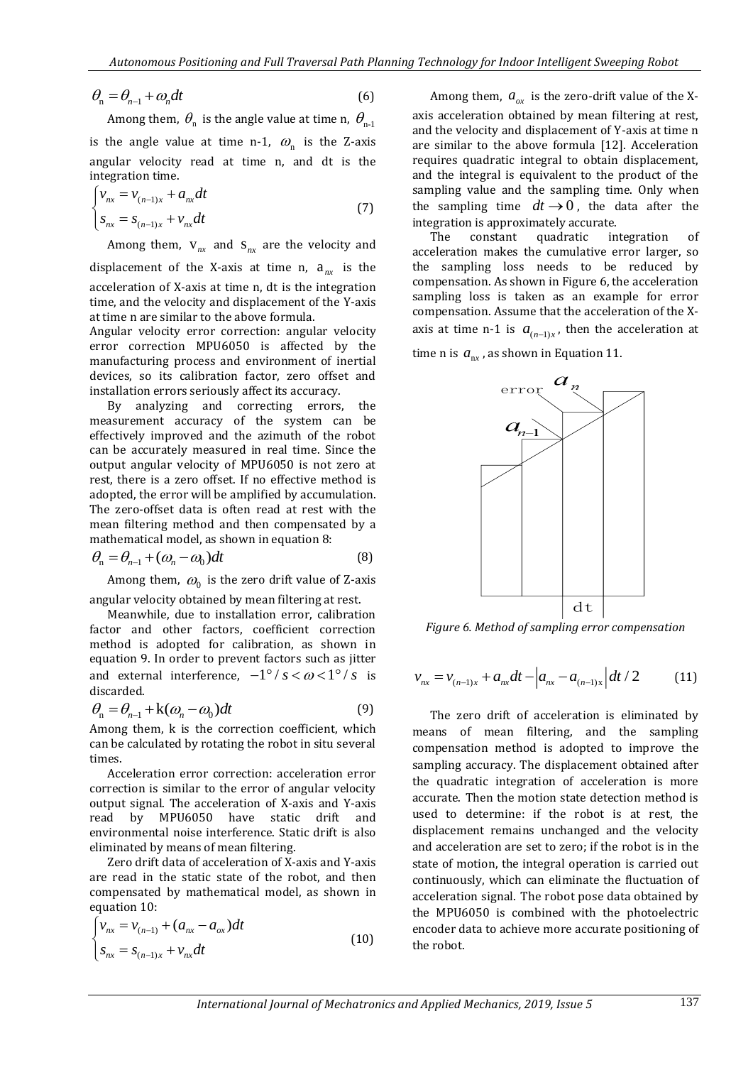$$
\theta_{n} = \theta_{n-1} + \omega_n dt \tag{6}
$$

Among them,  $\theta_{n}$  is the angle value at time n,  $\theta_{n-1}$ is the angle value at time n-1,  $\omega_n$  is the Z-axis angular velocity read at time n, and dt is the integration time.

$$
\begin{cases} v_{nx} = v_{(n-1)x} + a_{nx} dt \\ s_{nx} = s_{(n-1)x} + v_{nx} dt \end{cases}
$$
 (7)

Among them,  $V_{nx}$  and  $S_{nx}$  are the velocity and displacement of the X-axis at time n,  $a_{nx}$  is the acceleration of X-axis at time n, dt is the integration time, and the velocity and displacement of the Y-axis at time n are similar to the above formula.

Angular velocity error correction: angular velocity error correction MPU6050 is affected by the manufacturing process and environment of inertial devices, so its calibration factor, zero offset and installation errors seriously affect its accuracy.

By analyzing and correcting errors, the measurement accuracy of the system can be effectively improved and the azimuth of the robot can be accurately measured in real time. Since the output angular velocity of MPU6050 is not zero at rest, there is a zero offset. If no effective method is adopted, the error will be amplified by accumulation. The zero-offset data is often read at rest with the mean filtering method and then compensated by a mathematical model, as shown in equation 8:

$$
\theta_{n} = \theta_{n-1} + (\omega_{n} - \omega_{0})dt
$$
\n(8)

Among them,  $\omega_0$  is the zero drift value of Z-axis angular velocity obtained by mean filtering at rest.

Meanwhile, due to installation error, calibration factor and other factors, coefficient correction method is adopted for calibration, as shown in equation 9. In order to prevent factors such as jitter and external interference,  $-1^{\circ}/s < \omega < 1^{\circ}/s$  is discarded.

$$
\theta_{n} = \theta_{n-1} + k(\omega_{n} - \omega_{0})dt
$$
\n(9)

Among them, k is the correction coefficient, which can be calculated by rotating the robot in situ several times.

Acceleration error correction: acceleration error correction is similar to the error of angular velocity output signal. The acceleration of X-axis and Y-axis read by MPU6050 have static drift and environmental noise interference. Static drift is also eliminated by means of mean filtering.

Zero drift data of acceleration of X-axis and Y-axis are read in the static state of the robot, and then compensated by mathematical model, as shown in equation 10:

$$
\begin{cases} v_{nx} = v_{(n-1)} + (a_{nx} - a_{ox})dt \\ s_{nx} = s_{(n-1)x} + v_{nx}dt \end{cases}
$$
(10)

Among them,  $a_{ox}$  is the zero-drift value of the Xaxis acceleration obtained by mean filtering at rest, and the velocity and displacement of Y-axis at time n are similar to the above formula [12]. Acceleration requires quadratic integral to obtain displacement, and the integral is equivalent to the product of the sampling value and the sampling time. Only when the sampling time  $dt \rightarrow 0$ , the data after the integration is approximately accurate.

The constant quadratic integration of acceleration makes the cumulative error larger, so the sampling loss needs to be reduced by compensation. As shown in Figure 6, the acceleration sampling loss is taken as an example for error compensation. Assume that the acceleration of the Xaxis at time n-1 is  $a_{(n-1)x}$ , then the acceleration at time n is  $a_{nx}$ , as shown in Equation 11.



*Figure 6. Method of sampling error compensation*

$$
v_{nx} = v_{(n-1)x} + a_{nx}dt - \left| a_{nx} - a_{(n-1)x} \right| dt / 2 \qquad (11)
$$

The zero drift of acceleration is eliminated by means of mean filtering, and the sampling compensation method is adopted to improve the sampling accuracy. The displacement obtained after the quadratic integration of acceleration is more accurate. Then the motion state detection method is used to determine: if the robot is at rest, the displacement remains unchanged and the velocity and acceleration are set to zero; if the robot is in the state of motion, the integral operation is carried out continuously, which can eliminate the fluctuation of acceleration signal. The robot pose data obtained by the MPU6050 is combined with the photoelectric encoder data to achieve more accurate positioning of the robot.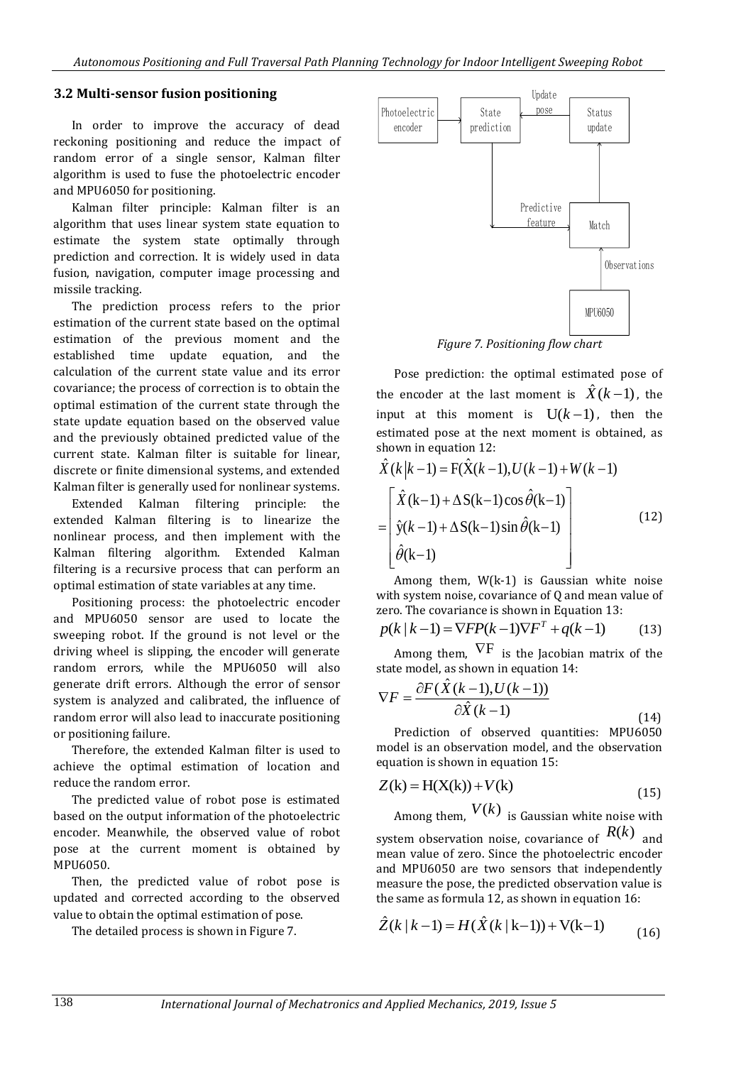#### **3.2 Multi-sensor fusion positioning**

In order to improve the accuracy of dead reckoning positioning and reduce the impact of random error of a single sensor, Kalman filter algorithm is used to fuse the photoelectric encoder and MPU6050 for positioning.

Kalman filter principle: Kalman filter is an algorithm that uses linear system state equation to estimate the system state optimally through prediction and correction. It is widely used in data fusion, navigation, computer image processing and missile tracking.

The prediction process refers to the prior estimation of the current state based on the optimal estimation of the previous moment and the established time update equation, and the calculation of the current state value and its error covariance; the process of correction is to obtain the optimal estimation of the current state through the state update equation based on the observed value and the previously obtained predicted value of the current state. Kalman filter is suitable for linear, discrete or finite dimensional systems, and extended Kalman filter is generally used for nonlinear systems.

Extended Kalman filtering principle: the extended Kalman filtering is to linearize the nonlinear process, and then implement with the Kalman filtering algorithm. Extended Kalman filtering is a recursive process that can perform an optimal estimation of state variables at any time.

Positioning process: the photoelectric encoder and MPU6050 sensor are used to locate the sweeping robot. If the ground is not level or the driving wheel is slipping, the encoder will generate random errors, while the MPU6050 will also generate drift errors. Although the error of sensor system is analyzed and calibrated, the influence of random error will also lead to inaccurate positioning or positioning failure.

Therefore, the extended Kalman filter is used to achieve the optimal estimation of location and reduce the random error.

The predicted value of robot pose is estimated based on the output information of the photoelectric encoder. Meanwhile, the observed value of robot pose at the current moment is obtained by MPU6050.

Then, the predicted value of robot pose is updated and corrected according to the observed value to obtain the optimal estimation of pose.

The detailed process is shown in Figure 7.



*Figure 7. Positioning flow chart*

Pose prediction: the optimal estimated pose of the encoder at the last moment is  $\hat{X}(k-1)$ , the input at this moment is  $U(k-1)$ , then the estimated pose at the next moment is obtained, as shown in equation 12:

$$
\hat{X}(k|k-1) = F(\hat{X}(k-1), U(k-1) + W(k-1)
$$
\n
$$
= \begin{bmatrix}\n\hat{X}(k-1) + \Delta S(k-1)\cos\hat{\theta}(k-1) \\
\hat{y}(k-1) + \Delta S(k-1)\sin\hat{\theta}(k-1) \\
\hat{\theta}(k-1)\n\end{bmatrix}
$$
\n(12)

Among them, W(k-1) is Gaussian white noise with system noise, covariance of Q and mean value of zero. The covariance is shown in Equation 13:

$$
p(k | k - 1) = \nabla FP(k - 1)\nabla F^{T} + q(k - 1)
$$
 (13)

Among them,  $\nabla F$  is the Jacobian matrix of the state model, as shown in equation 14:

$$
\nabla F = \frac{\partial F(\hat{X}(k-1), U(k-1))}{\partial \hat{X}(k-1)}
$$
(14)

Prediction of observed quantities: MPU6050 model is an observation model, and the observation equation is shown in equation 15:

$$
Z(k) = H(X(k)) + V(k)
$$
\n<sup>(15)</sup>

Among them,  $V(k)$  is Gaussian white noise with system observation noise, covariance of  $R(k)$  and mean value of zero. Since the photoelectric encoder and MPU6050 are two sensors that independently measure the pose, the predicted observation value is the same as formula 12, as shown in equation 16:

$$
\hat{Z}(k | k - 1) = H(\hat{X}(k | k - 1)) + V(k - 1)
$$
\n(16)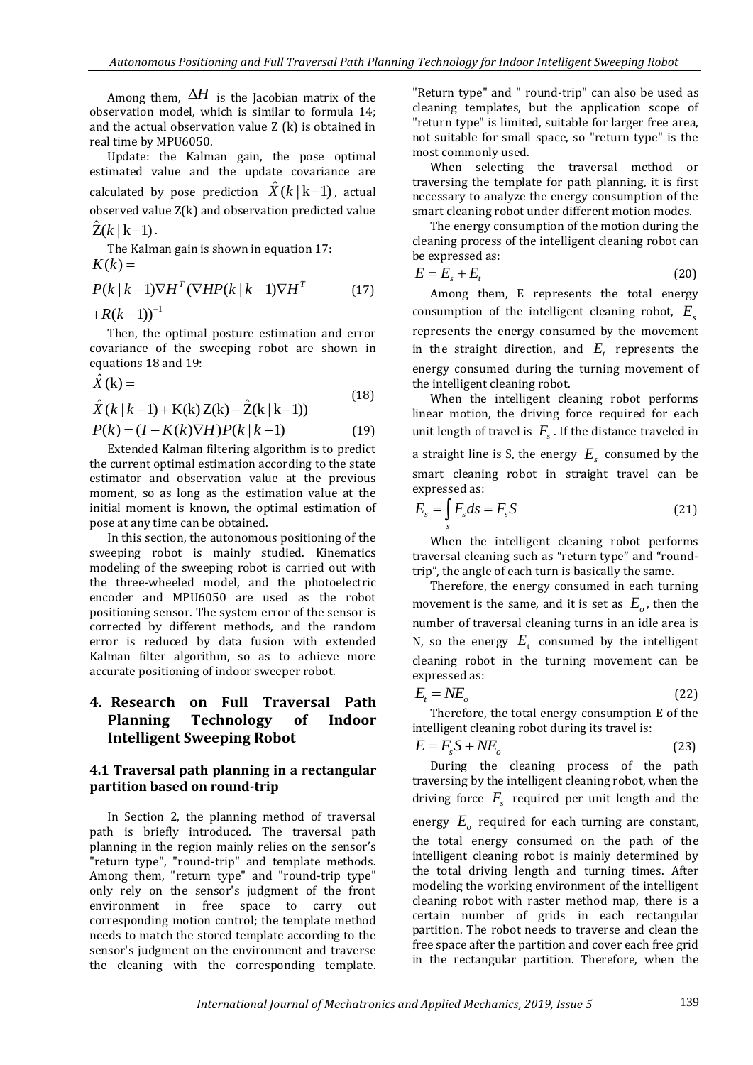Among them,  $\Delta H$  is the Jacobian matrix of the observation model, which is similar to formula 14; and the actual observation value Z (k) is obtained in real time by MPU6050.

Update: the Kalman gain, the pose optimal estimated value and the update covariance are calculated by pose prediction  $\hat{X}(k\,|\,\mathrm{k}{-}1)$  , actual observed value Z(k) and observation predicted value  $\hat{Z}(k | k-1)$ .

The Kalman gain is shown in equation 17:  $K(k) =$ 

$$
P(k | k-1) \nabla H^{T} (\nabla H P(k | k-1) \nabla H^{T}
$$
 (17)

 $+R(k-1))^{-1}$ 

Then, the optimal posture estimation and error covariance of the sweeping robot are shown in equations 18 and 19:

$$
\hat{X}(\mathbf{k}) = \tag{18}
$$

$$
\hat{X}(k|k-1) + K(k) Z(k) - \hat{Z}(k|k-1)
$$

$$
P(k) = (I - K(k)\nabla H)P(k|k-1)
$$
 (19)

Extended Kalman filtering algorithm is to predict the current optimal estimation according to the state estimator and observation value at the previous moment, so as long as the estimation value at the initial moment is known, the optimal estimation of pose at any time can be obtained.

In this section, the autonomous positioning of the sweeping robot is mainly studied. Kinematics modeling of the sweeping robot is carried out with the three-wheeled model, and the photoelectric encoder and MPU6050 are used as the robot positioning sensor. The system error of the sensor is corrected by different methods, and the random error is reduced by data fusion with extended Kalman filter algorithm, so as to achieve more accurate positioning of indoor sweeper robot.

# **4. Research on Full Traversal Path Planning Technology of Indoor Intelligent Sweeping Robot**

### **4.1 Traversal path planning in a rectangular partition based on round-trip**

In Section 2, the planning method of traversal path is briefly introduced. The traversal path planning in the region mainly relies on the sensor's "return type", "round-trip" and template methods. Among them, "return type" and "round-trip type" only rely on the sensor's judgment of the front environment in free space to carry out corresponding motion control; the template method needs to match the stored template according to the sensor's judgment on the environment and traverse the cleaning with the corresponding template. "Return type" and " round-trip" can also be used as cleaning templates, but the application scope of "return type" is limited, suitable for larger free area, not suitable for small space, so "return type" is the most commonly used.

When selecting the traversal method or traversing the template for path planning, it is first necessary to analyze the energy consumption of the smart cleaning robot under different motion modes.

The energy consumption of the motion during the cleaning process of the intelligent cleaning robot can be expressed as:

$$
E = E_s + E_t \tag{20}
$$

Among them, E represents the total energy consumption of the intelligent cleaning robot,  $E_s$ represents the energy consumed by the movement in the straight direction, and  $E_t$  represents the energy consumed during the turning movement of the intelligent cleaning robot.

When the intelligent cleaning robot performs linear motion, the driving force required for each unit length of travel is  $F_s$ . If the distance traveled in a straight line is S, the energy  $E<sub>s</sub>$  consumed by the smart cleaning robot in straight travel can be expressed as:

$$
E_s = \int_s F_s ds = F_s S \tag{21}
$$

When the intelligent cleaning robot performs traversal cleaning such as "return type" and "roundtrip", the angle of each turn is basically the same.

Therefore, the energy consumed in each turning movement is the same, and it is set as  $E_{\rho}$ , then the number of traversal cleaning turns in an idle area is N, so the energy  $E_t$  consumed by the intelligent cleaning robot in the turning movement can be expressed as:

$$
E_t = NE_o \tag{22}
$$

Therefore, the total energy consumption E of the intelligent cleaning robot during its travel is:

$$
E = F_s S + N E_o \tag{23}
$$

During the cleaning process of the path traversing by the intelligent cleaning robot, when the driving force  $F_s$  required per unit length and the

energy  $E_{\rho}$  required for each turning are constant, the total energy consumed on the path of the intelligent cleaning robot is mainly determined by the total driving length and turning times. After modeling the working environment of the intelligent cleaning robot with raster method map, there is a certain number of grids in each rectangular partition. The robot needs to traverse and clean the free space after the partition and cover each free grid in the rectangular partition. Therefore, when the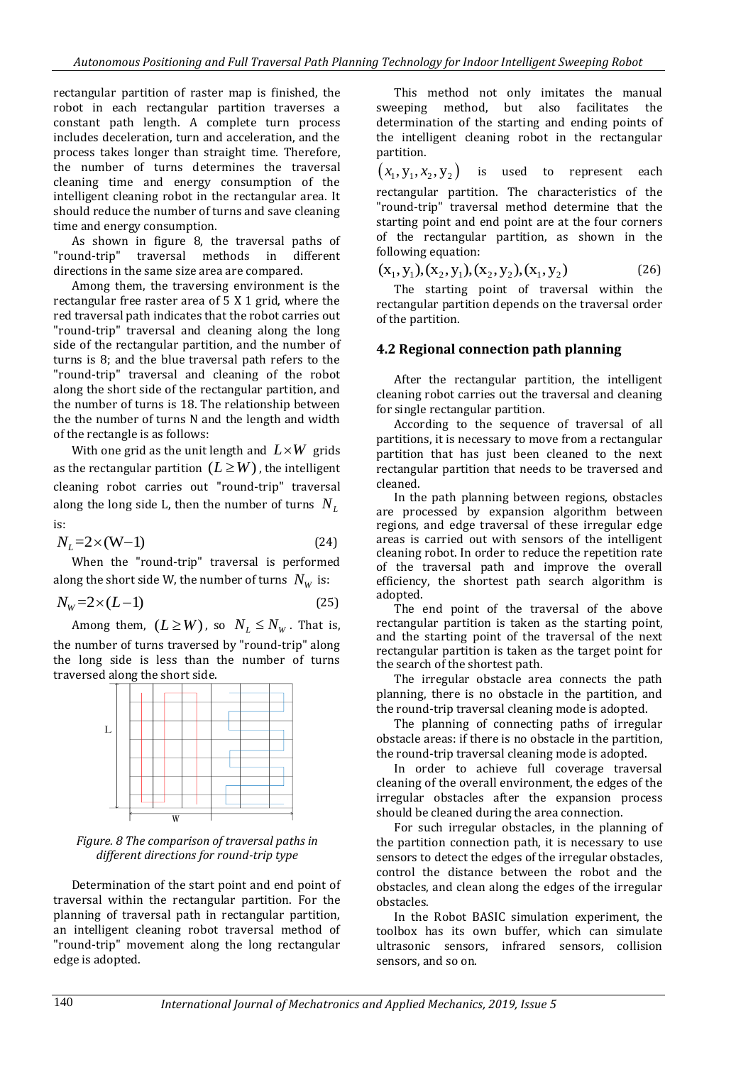rectangular partition of raster map is finished, the robot in each rectangular partition traverses a constant path length. A complete turn process includes deceleration, turn and acceleration, and the process takes longer than straight time. Therefore, the number of turns determines the traversal cleaning time and energy consumption of the intelligent cleaning robot in the rectangular area. It should reduce the number of turns and save cleaning time and energy consumption.

As shown in figure 8, the traversal paths of "round-trip" traversal methods in different directions in the same size area are compared.

Among them, the traversing environment is the rectangular free raster area of 5 X 1 grid, where the red traversal path indicates that the robot carries out "round-trip" traversal and cleaning along the long side of the rectangular partition, and the number of turns is 8; and the blue traversal path refers to the "round-trip" traversal and cleaning of the robot along the short side of the rectangular partition, and the number of turns is 18. The relationship between the the number of turns N and the length and width of the rectangle is as follows:

With one grid as the unit length and  $L\times W$  grids as the rectangular partition  $(L \geq W)$  , the intelligent cleaning robot carries out "round-trip" traversal along the long side L, then the number of turns *N<sup>L</sup>* is:

$$
N_L = 2 \times (W - 1) \tag{24}
$$

When the "round-trip" traversal is performed along the short side W, the number of turns  $\,N_{\rm\scriptscriptstyle W}\,$  is:

$$
N_{\rm w} = 2 \times (L-1) \tag{25}
$$

Among them,  $(L \geq W)$ , so  $N_{L} \leq N_{W}$ . That is, the number of turns traversed by "round-trip" along the long side is less than the number of turns traversed along the short side.



*Figure. 8 The comparison of traversal paths in different directions for round-trip type*

Determination of the start point and end point of traversal within the rectangular partition. For the planning of traversal path in rectangular partition, an intelligent cleaning robot traversal method of "round-trip" movement along the long rectangular edge is adopted.

This method not only imitates the manual sweeping method, but also facilitates the determination of the starting and ending points of the intelligent cleaning robot in the rectangular partition.

 $(x_1, y_1, x_2, y_2)$ is used to represent each rectangular partition. The characteristics of the "round-trip" traversal method determine that the starting point and end point are at the four corners of the rectangular partition, as shown in the following equation:

$$
(x1, y1), (x2, y1), (x2, y2), (x1, y2) (26)
$$

The starting point of traversal within the rectangular partition depends on the traversal order of the partition.

#### **4.2 Regional connection path planning**

After the rectangular partition, the intelligent cleaning robot carries out the traversal and cleaning for single rectangular partition.

According to the sequence of traversal of all partitions, it is necessary to move from a rectangular partition that has just been cleaned to the next rectangular partition that needs to be traversed and cleaned.

In the path planning between regions, obstacles are processed by expansion algorithm between regions, and edge traversal of these irregular edge areas is carried out with sensors of the intelligent cleaning robot. In order to reduce the repetition rate of the traversal path and improve the overall efficiency, the shortest path search algorithm is adopted.

The end point of the traversal of the above rectangular partition is taken as the starting point, and the starting point of the traversal of the next rectangular partition is taken as the target point for the search of the shortest path.

The irregular obstacle area connects the path planning, there is no obstacle in the partition, and the round-trip traversal cleaning mode is adopted.

The planning of connecting paths of irregular obstacle areas: if there is no obstacle in the partition, the round-trip traversal cleaning mode is adopted.

In order to achieve full coverage traversal cleaning of the overall environment, the edges of the irregular obstacles after the expansion process should be cleaned during the area connection.

For such irregular obstacles, in the planning of the partition connection path, it is necessary to use sensors to detect the edges of the irregular obstacles, control the distance between the robot and the obstacles, and clean along the edges of the irregular obstacles.

In the Robot BASIC simulation experiment, the toolbox has its own buffer, which can simulate ultrasonic sensors, infrared sensors, collision sensors, and so on.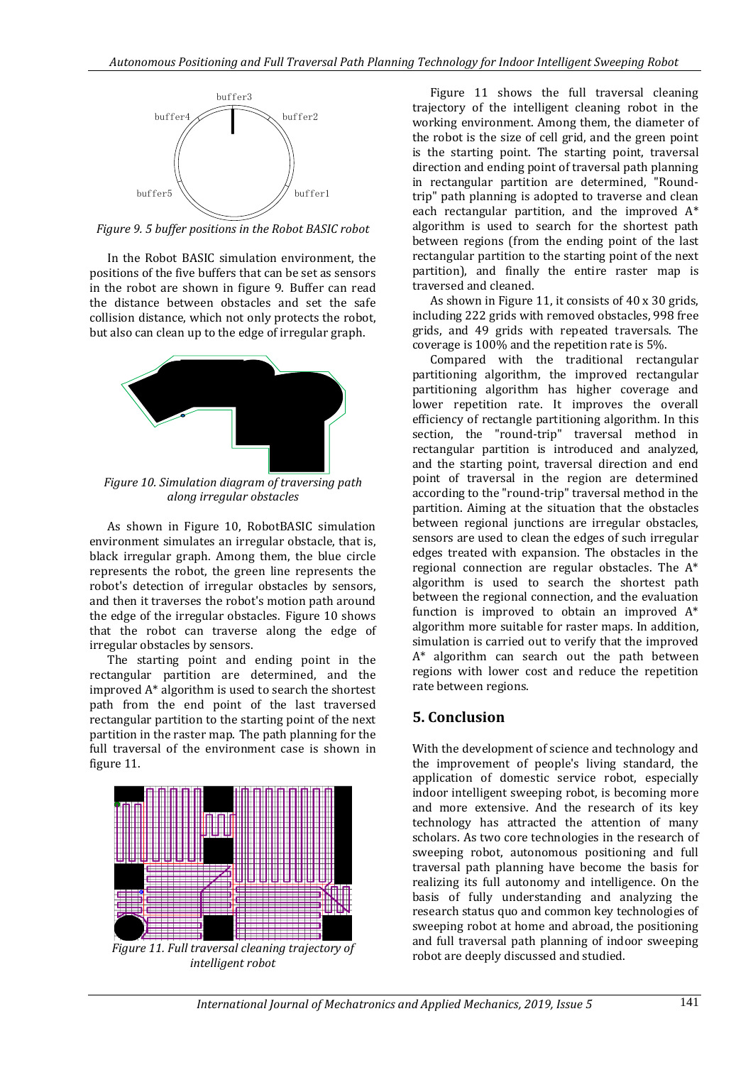

*Figure 9. 5 buffer positions in the Robot BASIC robot*

In the Robot BASIC simulation environment, the positions of the five buffers that can be set as sensors in the robot are shown in figure 9. Buffer can read the distance between obstacles and set the safe collision distance, which not only protects the robot, but also can clean up to the edge of irregular graph.



*Figure 10. Simulation diagram of traversing path along irregular obstacles*

As shown in Figure 10, RobotBASIC simulation environment simulates an irregular obstacle, that is, black irregular graph. Among them, the blue circle represents the robot, the green line represents the robot's detection of irregular obstacles by sensors, and then it traverses the robot's motion path around the edge of the irregular obstacles. Figure 10 shows that the robot can traverse along the edge of irregular obstacles by sensors.

The starting point and ending point in the rectangular partition are determined, and the improved A\* algorithm is used to search the shortest path from the end point of the last traversed rectangular partition to the starting point of the next partition in the raster map. The path planning for the full traversal of the environment case is shown in figure 11.



*Figure 11. Full traversal cleaning trajectory of intelligent robot*

Figure 11 shows the full traversal cleaning trajectory of the intelligent cleaning robot in the working environment. Among them, the diameter of the robot is the size of cell grid, and the green point is the starting point. The starting point, traversal direction and ending point of traversal path planning in rectangular partition are determined, "Roundtrip" path planning is adopted to traverse and clean each rectangular partition, and the improved A\* algorithm is used to search for the shortest path between regions (from the ending point of the last rectangular partition to the starting point of the next partition), and finally the entire raster map is traversed and cleaned.

As shown in Figure 11, it consists of 40 x 30 grids, including 222 grids with removed obstacles, 998 free grids, and 49 grids with repeated traversals. The coverage is 100% and the repetition rate is 5%.

Compared with the traditional rectangular partitioning algorithm, the improved rectangular partitioning algorithm has higher coverage and lower repetition rate. It improves the overall efficiency of rectangle partitioning algorithm. In this section, the "round-trip" traversal method in rectangular partition is introduced and analyzed, and the starting point, traversal direction and end point of traversal in the region are determined according to the "round-trip" traversal method in the partition. Aiming at the situation that the obstacles between regional junctions are irregular obstacles, sensors are used to clean the edges of such irregular edges treated with expansion. The obstacles in the regional connection are regular obstacles. The A\* algorithm is used to search the shortest path between the regional connection, and the evaluation function is improved to obtain an improved A\* algorithm more suitable for raster maps. In addition, simulation is carried out to verify that the improved A\* algorithm can search out the path between regions with lower cost and reduce the repetition rate between regions.

# **5. Conclusion**

With the development of science and technology and the improvement of people's living standard, the application of domestic service robot, especially indoor intelligent sweeping robot, is becoming more and more extensive. And the research of its key technology has attracted the attention of many scholars. As two core technologies in the research of sweeping robot, autonomous positioning and full traversal path planning have become the basis for realizing its full autonomy and intelligence. On the basis of fully understanding and analyzing the research status quo and common key technologies of sweeping robot at home and abroad, the positioning and full traversal path planning of indoor sweeping robot are deeply discussed and studied.